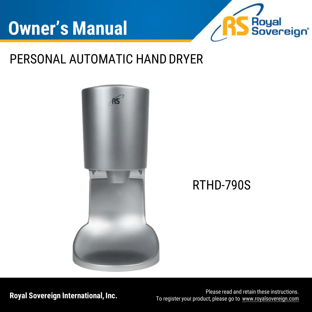

## PERSONAL AUTOMATIC HAND DRYER



**Royal Sovereign International, Inc.** To register your product please read and retain these instructions. To register your product, please go to [www.royalsovereign.com](http://www.royalsovereign.com/)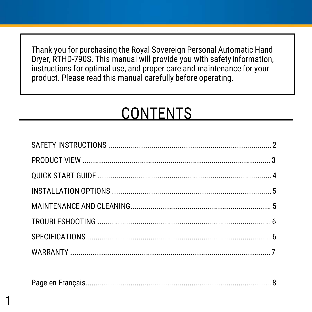Thank you for purchasing the Royal Sovereign Personal Automatic Hand Dryer, RTHD-790S. This manual will provide you with safety information, instructions for optimal use, and proper care and maintenance for your product. Please read this manual carefully before operating.

# CONTENTS

|--|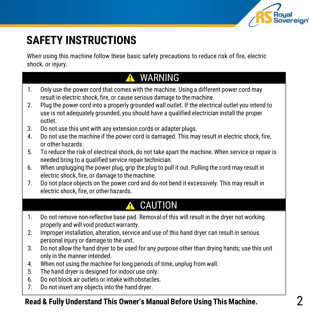

## **SAFETY INSTRUCTIONS**

When using this machine follow these basic safety precautions to reduce risk of fire, electric shock, or injury.

### **A** WARNING

- 1. Only use the power cord that comes with the machine. Using a different power cord may result in electric shock, fire, or cause serious damage to themachine.
- 2. Plug the power cord into a properly grounded wall outlet. If the electrical outlet you intend to use is not adequately grounded, you should have a qualified electrician install the proper outlet.
- 3. Do not use this unit with any extension cords or adapter plugs.
- 4. Do not use the machine if the power cord is damaged. This may result in electric shock, fire, or other hazards.
- 5. To reduce the risk of electrical shock, do not take apart the machine. When service or repair is needed bring to a qualified service repair technician.
- 6. When unplugging the power plug, grip the plug to pull it out. Pulling the cord may result in electric shock, fire, or damage to themachine.
- 7. Do not place objects on the power cord and do not bend it excessively. This may result in electric shock, fire, or other hazards.

### CAUTION

- 1. Do not remove non-reflective base pad. Removal of this will result in the dryer not working properly and will void product warranty.
- 2. Improper installation, alteration, service and use of this hand dryer can result in serious personal injury or damage to the unit.
- 3. Do not allow the hand dryer to be used for any purpose other than drying hands; use this unit only in the manner intended.
- 4. When not using the machine for long periods of time, unplug from wall.
- 5. The hand dryer is designed for indoor use only.
- 6. Do not block air outlets or intake withobstacles.
- 7. Do not insert any objects into the hand dryer.

#### **Read & Fully Understand This Owner's Manual Before Using This Machine.**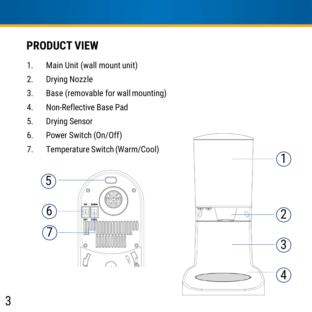## **PRODUCT VIEW**

- 1. Main Unit (wall mount unit)
- 2. Drying Nozzle
- 3. Base (removable for wallmounting)
- 4. Non-Reflective Base Pad
- 5. Drying Sensor
- 6. Power Switch (On/Off)
- 7. Temperature Switch (Warm/Cool)



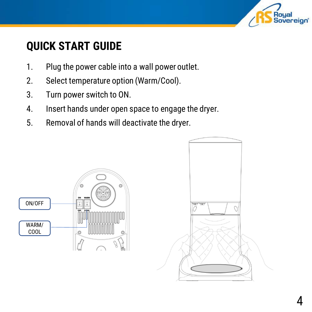

## **QUICK START GUIDE**

- 1. Plug the power cable into a wall power outlet.
- 2. Select temperature option (Warm/Cool).
- 3. Turn power switch to ON.
- 4. Insert hands under open space to engage the dryer.
- 5. Removal of hands will deactivate the dryer.

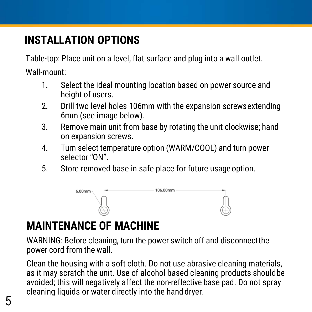## **INSTALLATION OPTIONS**

Table-top: Place unit on a level, flat surface and plug into a wall outlet.

Wall-mount:

- 1. Select the ideal mounting location based on power source and height of users.
- 2. Drill two level holes 106mm with the expansion screwsextending 6mm (see image below).
- 3. Remove main unit from base by rotating the unit clockwise; hand on expansion screws.
- 4. Turn select temperature option (WARM/COOL) and turn power selector "ON".
- 5. Store removed base in safe place for future usageoption.



## **MAINTENANCE OF MACHINE**

WARNING: Before cleaning, turn the power switch off and disconnectthe power cord from the wall.

Clean the housing with a soft cloth. Do not use abrasive cleaning materials, as it may scratch the unit. Use of alcohol based cleaning products shouldbe avoided; this will negatively affect the non-reflective base pad. Do not spray cleaning liquids or water directly into the hand dryer.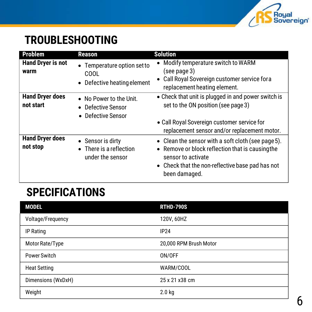

## **TROUBLESHOOTING**

| <b>Problem</b>                      | <b>Reason</b>                                                       | <b>Solution</b>                                                                                                                                                                                   |
|-------------------------------------|---------------------------------------------------------------------|---------------------------------------------------------------------------------------------------------------------------------------------------------------------------------------------------|
| <b>Hand Dryer is not</b><br>warm    | • Temperature option set to<br>COOL<br>• Defective heating element  | Modify temperature switch to WARM<br>(see page 3)<br>Call Royal Sovereign customer service fora<br>$\bullet$<br>replacement heating element.                                                      |
| <b>Hand Dryer does</b><br>not start | • No Power to the Unit.<br>• Defective Sensor<br>• Defective Sensor | • Check that unit is plugged in and power switch is<br>set to the ON position (see page 3)<br>• Call Royal Sovereign customer service for<br>replacement sensor and/or replacement motor.         |
| <b>Hand Dryer does</b><br>not stop  | • Sensor is dirty<br>• There is a reflection<br>under the sensor    | • Clean the sensor with a soft cloth (see page 5).<br>• Remove or block reflection that is causing the<br>sensor to activate<br>• Check that the non-reflective base pad has not<br>been damaged. |

### **SPECIFICATIONS**

| <b>MODEL</b>        | <b>RTHD-790S</b>       |
|---------------------|------------------------|
| Voltage/Frequency   | 120V, 60HZ             |
| IP Rating           | <b>IP24</b>            |
| Motor Rate/Type     | 20,000 RPM Brush Motor |
| Power Switch        | ON/OFF                 |
| <b>Heat Setting</b> | WARM/COOL              |
| Dimensions (WxDxH)  | 25 x 21 x 38 cm        |
| Weight              | 2.0 <sub>kq</sub>      |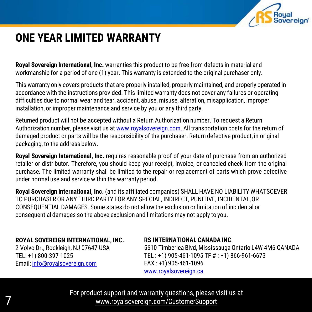

### **ONE YEAR LIMITED WARRANTY**

**Royal Sovereign International, Inc.** warranties this product to be free from defects in material and workmanship for a period of one (1) year. This warranty is extended to the original purchaser only.

This warranty only covers products that are properly installed, properly maintained, and properly operated in accordance with the instructions provided. This limited warranty does not cover any failures or operating difficulties due to normal wear and tear, accident, abuse, misuse, alteration, misapplication, improper installation, or improper maintenance and service by you or any third party.

Returned product will not be accepted without a Return Authorization number. To request a Return Authorization number, please visit us at [www.royalsovereign.com. A](http://www.royalsovereign.com/)ll transportation costs for the return of damaged product or parts will be the responsibility of the purchaser. Return defective product, in original packaging, to the address below.

**Royal Sovereign International, Inc.** requires reasonable proof of your date of purchase from an authorized retailer or distributor. Therefore, you should keep your receipt, invoice, or canceled check from the original purchase. The limited warranty shall be limited to the repair or replacement of parts which prove defective under normal use and service within the warranty period.

**Royal Sovereign International, Inc.** (and its affiliated companies) SHALL HAVE NO LIABILITY WHATSOEVER TO PURCHASER OR ANY THIRD PARTY FOR ANY SPECIAL, INDIRECT, PUNITIVE, INCIDENTAL,OR CONSEQUENTIAL DAMAGES. Some states do not allow the exclusion or limitation of incidental or consequential damages so the above exclusion and limitations may not apply to you.

#### **ROYAL SOVEREIGN INTERNATIONAL, INC.**

2 Volvo Dr., Rockleigh, NJ 07647 USA TEL: +1) 800-397-1025 Email: [info@royalsovereign.com](mailto:info@royalsovereign.com)

7

#### **RS INTERNATIONAL CANADA INC**.

5610 Timberlea Blvd, Mississauga Ontario L4W 4M6 CANADA TEL : +1) 905-461-1095 TF # : +1) 866-961-6673 FAX : +1)905-461-1096 [www.royalsovereign.ca](http://www.royalsovereign.ca/)

For product support and warranty questions, please visit us at [www.royalsovereign.com/CustomerSupport](http://www.royalsovereign.com/CustomerSupport)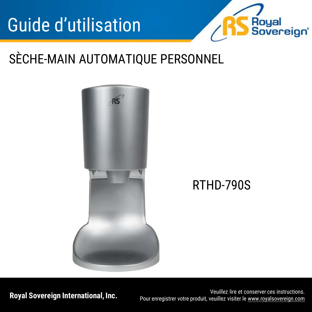

# SÈCHE-MAIN AUTOMATIQUE PERSONNEL



**Royal Sovereign International, Inc.** Veuillez lire et conserver ces instructions. Pour enregistrer votre produit, veuillez visiter le [www.royalsovereign.com](http://www.royalsovereign.com/)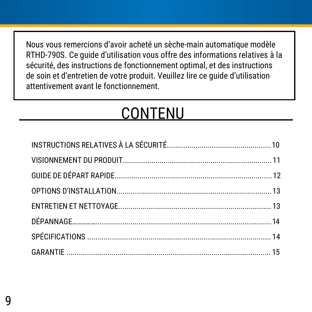Nous vous remercions d'avoir acheté un sèche-main automatique modèle RTHD-790S. Ce guide d'utilisation vous offre des informations relatives à la sécurité, des instructions de fonctionnement optimal, et des instructions de soin et d'entretien de votre produit. Veuillez lire ce guide d'utilisation attentivement avant le fonctionnement.

# CONTENU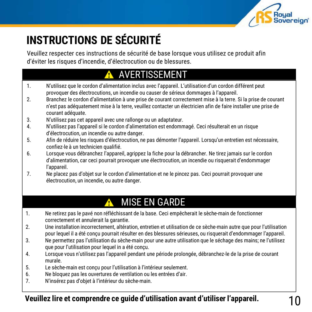

## **INSTRUCTIONS DE SÉCURITÉ**

Veuillez respecter ces instructions de sécurité de base lorsque vous utilisez ce produit afin d'éviter les risques d'incendie, d'électrocution ou de blessures.

### AVERTISSEMENT

- 1. N'utilisez que le cordon d'alimentation inclus avec l'appareil. L'utilisation d'un cordon différent peut provoquer des électrocutions, un incendie ou causer de sérieux dommages à l'appareil.
- 2. Branchez le cordon d'alimentation à une prise de courant correctement mise à la terre. Si la prise de courant n'est pas adéquatement mise à la terre, veuillez contacter un électricien afin de faire installer une prise de courant adéquate.
- 3. N'utilisez pas cet appareil avec une rallonge ou un adaptateur.
- 4. N'utilisez pas l'appareil si le cordon d'alimentation est endommagé. Ceci résulterait en un risque d'électrocution, un incendie ou autre danger.
- 5. Afin de réduire les risques d'électrocution, ne pas démonter l'appareil. Lorsqu'un entretien est nécessaire, confiez-le à un technicien qualifié.
- 6. Lorsque vous débranchez l'appareil, agrippez la fiche pour la débrancher. Ne tirez jamais sur le cordon d'alimentation, car ceci pourrait provoquer une électrocution, un incendie ou risquerait d'endommager l'appareil.
- 7. Ne placez pas d'objet sur le cordon d'alimentation et ne le pincez pas. Ceci pourrait provoquer une électrocution, un incendie, ou autre danger.

### MISE EN GARDE

- 1. Ne retirez pas le pavé non réfléchissant de la base. Ceci empêcherait le sèche-main de fonctionner correctement et annulerait la garantie.
- 2. Une installation incorrectement, altération, entretien et utilisation de ce sèche-main autre que pour l'utilisation pour lequel il a été conçu pourrait résulter en des blessures sérieuses, ou risquerait d'endommager l'appareil.
- 3. Ne permettez pas l'utilisation du sèche-main pour une autre utilisation que le séchage des mains; ne l'utilisez que pour l'utilisation pour lequel in a été conçu.
- 4. Lorsque vous n'utilisez pas l'appareil pendant une période prolongée, débranchez-le de la prise de courant murale.
- 5. Le sèche-main est conçu pour l'utilisation à l'intérieur seulement.
- 6. Ne bloquez pas les ouvertures de ventilation ou les entrées d'air.
- 7. N'insérez pas d'objet à l'intérieur du sèche-main.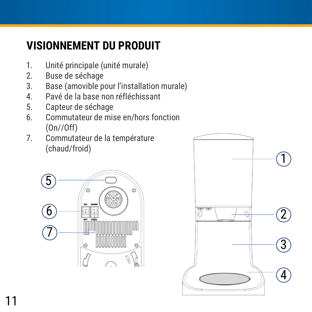## **VISIONNEMENT DU PRODUIT**

- 1. Unité principale (unité murale)
- 2. Buse de séchage
- 3. Base (amovible pour l'installation murale)
- 4. Pavé de la base non réfléchissant
- 5. Capteur de séchage
- 6. Commutateur de mise en/hors fonction (On//Off)
- 7. Commutateur de la température (chaud/froid)



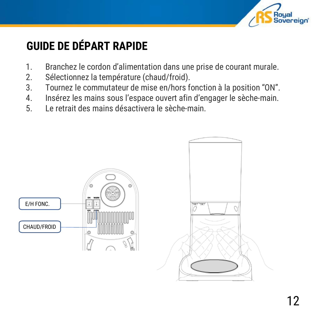

## **GUIDE DE DÉPART RAPIDE**

- 1. Branchez le cordon d'alimentation dans une prise de courant murale.
- 2. Sélectionnez la température (chaud/froid).
- 3. Tournez le commutateur de mise en/hors fonction à la position "ON".
- 4. Insérez les mains sous l'espace ouvert afin d'engager le sèche-main.
- 5. Le retrait des mains désactivera le sèche-main.

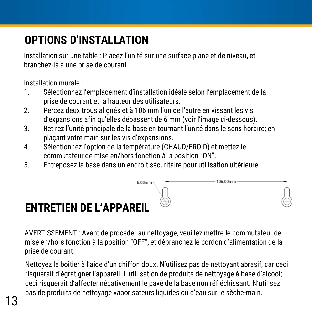## **OPTIONS D'INSTALLATION**

Installation sur une table : Placez l'unité sur une surface plane et de niveau, et branchez-là à une prise de courant.

Installation murale :

- 1. Sélectionnez l'emplacement d'installation idéale selon l'emplacement de la prise de courant et la hauteur des utilisateurs.
- 2. Percez deux trous alignés et à 106 mm l'un de l'autre en vissant les vis d'expansions afin qu'elles dépassent de 6 mm (voir l'image ci-dessous).
- 3. Retirez l'unité principale de la base en tournant l'unité dans le sens horaire; en plaçant votre main sur les vis d'expansions.
- 4. Sélectionnez l'option de la température (CHAUD/FROID) et mettez le commutateur de mise en/hors fonction à la position "ON".
- 5. Entreposez la base dans un endroit sécuritaire pour utilisation ultérieure.



### **ENTRETIEN DE L'APPAREIL**

AVERTISSEMENT : Avant de procéder au nettoyage, veuillez mettre le commutateur de mise en/hors fonction à la position "OFF", et débranchez le cordon d'alimentation de la prise de courant.

Nettoyez le boîtier à l'aide d'un chiffon doux. N'utilisez pas de nettoyant abrasif, car ceci risquerait d'égratigner l'appareil. L'utilisation de produits de nettoyage à base d'alcool; ceci risquerait d'affecter négativement le pavé de la base non réfléchissant. N'utilisez pas de produits de nettoyage vaporisateurs liquides ou d'eau sur le sèche-main.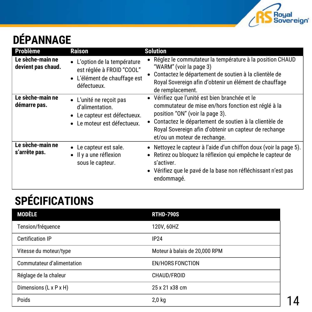

# **DÉPANNAGE**

| <b>Problème</b>                        | <b>Raison</b>                                                                                             | <b>Solution</b>                                                                                                                                                                                                                                                                            |
|----------------------------------------|-----------------------------------------------------------------------------------------------------------|--------------------------------------------------------------------------------------------------------------------------------------------------------------------------------------------------------------------------------------------------------------------------------------------|
| Le sèche-main ne<br>devient pas chaud. | • L'option de la température<br>est réglée à FROID "COOL"<br>• L'élément de chauffage est<br>défectueux.  | Réglez le commutateur la température à la position CHAUD<br>"WARM" (voir la page 3)<br>Contactez le département de soutien à la clientèle de<br>Royal Sovereign afin d'obtenir un élément de chauffage<br>de remplacement.                                                                 |
| Le sèche-main ne<br>démarre pas.       | • L'unité ne recoit pas<br>d'alimentation.<br>• Le capteur est défectueux.<br>• Le moteur est défectueux. | • Vérifiez que l'unité est bien branchée et le<br>commutateur de mise en/hors fonction est réglé à la<br>position "ON" (voir la page 3).<br>Contactez le département de soutien à la clientèle de<br>Royal Sovereign afin d'obtenir un capteur de rechange<br>et/ou un moteur de rechange. |
| Le sèche-main ne<br>s'arrête pas.      | $\bullet$ Le capteur est sale.<br>$\bullet$ II y a une réflexion<br>sous le capteur.                      | • Nettoyez le capteur à l'aide d'un chiffon doux (voir la page 5).<br>· Retirez ou bloquez la réflexion qui empêche le capteur de<br>s'activer.<br>• Vérifiez que le pavé de la base non réfléchissant n'est pas<br>endommagé.                                                             |

## **SPÉCIFICATIONS**

| <b>MODÈLE</b>              | <b>RTHD-790S</b>              |
|----------------------------|-------------------------------|
| Tension/fréquence          | 120V, 60HZ                    |
| <b>Certification IP</b>    | IP24                          |
| Vitesse du moteur/type     | Moteur à balais de 20,000 RPM |
| Commutateur d'alimentation | <b>EN/HORS FONCTION</b>       |
| Réglage de la chaleur      | CHAUD/FROID                   |
| Dimensions (L x P x H)     | 25 x 21 x 38 cm               |
| Poids                      | $2,0$ kg                      |